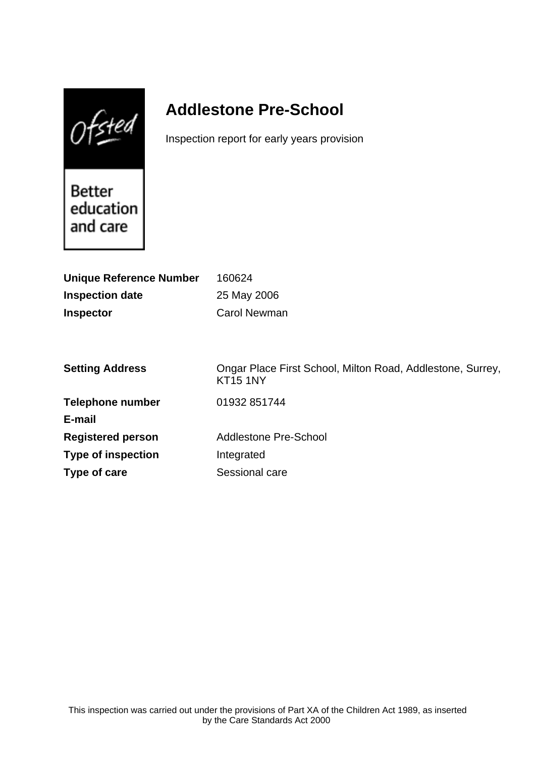$0$ fsted

# **Addlestone Pre-School**

Inspection report for early years provision

Better education and care

| <b>Unique Reference Number</b><br><b>Inspection date</b><br><b>Inspector</b> | 160624<br>25 May 2006<br><b>Carol Newman</b>                                  |
|------------------------------------------------------------------------------|-------------------------------------------------------------------------------|
| <b>Setting Address</b>                                                       | Ongar Place First School, Milton Road, Addlestone, Surrey,<br><b>KT15 1NY</b> |
| <b>Telephone number</b>                                                      | 01932 851744                                                                  |
| E-mail                                                                       |                                                                               |
| <b>Registered person</b>                                                     | <b>Addlestone Pre-School</b>                                                  |
| <b>Type of inspection</b>                                                    | Integrated                                                                    |
| Type of care                                                                 | Sessional care                                                                |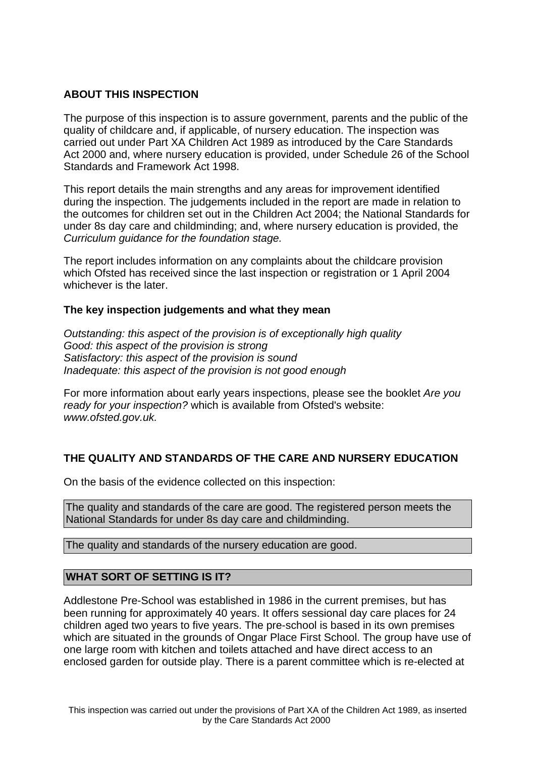## **ABOUT THIS INSPECTION**

The purpose of this inspection is to assure government, parents and the public of the quality of childcare and, if applicable, of nursery education. The inspection was carried out under Part XA Children Act 1989 as introduced by the Care Standards Act 2000 and, where nursery education is provided, under Schedule 26 of the School Standards and Framework Act 1998.

This report details the main strengths and any areas for improvement identified during the inspection. The judgements included in the report are made in relation to the outcomes for children set out in the Children Act 2004; the National Standards for under 8s day care and childminding; and, where nursery education is provided, the Curriculum guidance for the foundation stage.

The report includes information on any complaints about the childcare provision which Ofsted has received since the last inspection or registration or 1 April 2004 whichever is the later.

## **The key inspection judgements and what they mean**

Outstanding: this aspect of the provision is of exceptionally high quality Good: this aspect of the provision is strong Satisfactory: this aspect of the provision is sound Inadequate: this aspect of the provision is not good enough

For more information about early years inspections, please see the booklet Are you ready for your inspection? which is available from Ofsted's website: www.ofsted.gov.uk.

## **THE QUALITY AND STANDARDS OF THE CARE AND NURSERY EDUCATION**

On the basis of the evidence collected on this inspection:

The quality and standards of the care are good. The registered person meets the National Standards for under 8s day care and childminding.

The quality and standards of the nursery education are good.

## **WHAT SORT OF SETTING IS IT?**

Addlestone Pre-School was established in 1986 in the current premises, but has been running for approximately 40 years. It offers sessional day care places for 24 children aged two years to five years. The pre-school is based in its own premises which are situated in the grounds of Ongar Place First School. The group have use of one large room with kitchen and toilets attached and have direct access to an enclosed garden for outside play. There is a parent committee which is re-elected at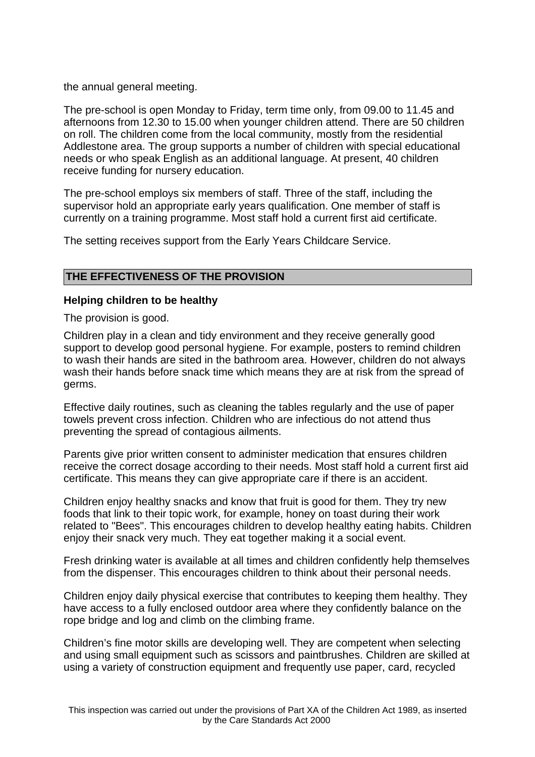the annual general meeting.

The pre-school is open Monday to Friday, term time only, from 09.00 to 11.45 and afternoons from 12.30 to 15.00 when younger children attend. There are 50 children on roll. The children come from the local community, mostly from the residential Addlestone area. The group supports a number of children with special educational needs or who speak English as an additional language. At present, 40 children receive funding for nursery education.

The pre-school employs six members of staff. Three of the staff, including the supervisor hold an appropriate early years qualification. One member of staff is currently on a training programme. Most staff hold a current first aid certificate.

The setting receives support from the Early Years Childcare Service.

## **THE EFFECTIVENESS OF THE PROVISION**

#### **Helping children to be healthy**

The provision is good.

Children play in a clean and tidy environment and they receive generally good support to develop good personal hygiene. For example, posters to remind children to wash their hands are sited in the bathroom area. However, children do not always wash their hands before snack time which means they are at risk from the spread of germs.

Effective daily routines, such as cleaning the tables regularly and the use of paper towels prevent cross infection. Children who are infectious do not attend thus preventing the spread of contagious ailments.

Parents give prior written consent to administer medication that ensures children receive the correct dosage according to their needs. Most staff hold a current first aid certificate. This means they can give appropriate care if there is an accident.

Children enjoy healthy snacks and know that fruit is good for them. They try new foods that link to their topic work, for example, honey on toast during their work related to "Bees". This encourages children to develop healthy eating habits. Children enjoy their snack very much. They eat together making it a social event.

Fresh drinking water is available at all times and children confidently help themselves from the dispenser. This encourages children to think about their personal needs.

Children enjoy daily physical exercise that contributes to keeping them healthy. They have access to a fully enclosed outdoor area where they confidently balance on the rope bridge and log and climb on the climbing frame.

Children's fine motor skills are developing well. They are competent when selecting and using small equipment such as scissors and paintbrushes. Children are skilled at using a variety of construction equipment and frequently use paper, card, recycled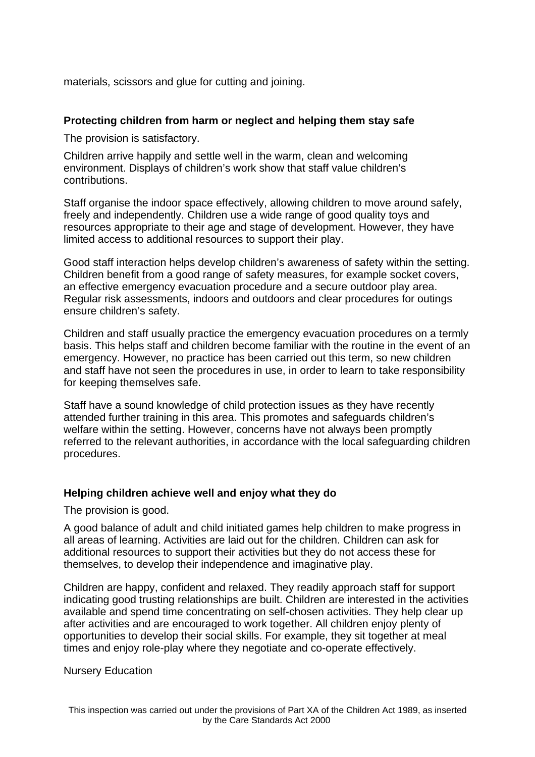materials, scissors and glue for cutting and joining.

### **Protecting children from harm or neglect and helping them stay safe**

The provision is satisfactory.

Children arrive happily and settle well in the warm, clean and welcoming environment. Displays of children's work show that staff value children's contributions.

Staff organise the indoor space effectively, allowing children to move around safely, freely and independently. Children use a wide range of good quality toys and resources appropriate to their age and stage of development. However, they have limited access to additional resources to support their play.

Good staff interaction helps develop children's awareness of safety within the setting. Children benefit from a good range of safety measures, for example socket covers, an effective emergency evacuation procedure and a secure outdoor play area. Regular risk assessments, indoors and outdoors and clear procedures for outings ensure children's safety.

Children and staff usually practice the emergency evacuation procedures on a termly basis. This helps staff and children become familiar with the routine in the event of an emergency. However, no practice has been carried out this term, so new children and staff have not seen the procedures in use, in order to learn to take responsibility for keeping themselves safe.

Staff have a sound knowledge of child protection issues as they have recently attended further training in this area. This promotes and safeguards children's welfare within the setting. However, concerns have not always been promptly referred to the relevant authorities, in accordance with the local safeguarding children procedures.

#### **Helping children achieve well and enjoy what they do**

The provision is good.

A good balance of adult and child initiated games help children to make progress in all areas of learning. Activities are laid out for the children. Children can ask for additional resources to support their activities but they do not access these for themselves, to develop their independence and imaginative play.

Children are happy, confident and relaxed. They readily approach staff for support indicating good trusting relationships are built. Children are interested in the activities available and spend time concentrating on self-chosen activities. They help clear up after activities and are encouraged to work together. All children enjoy plenty of opportunities to develop their social skills. For example, they sit together at meal times and enjoy role-play where they negotiate and co-operate effectively.

#### Nursery Education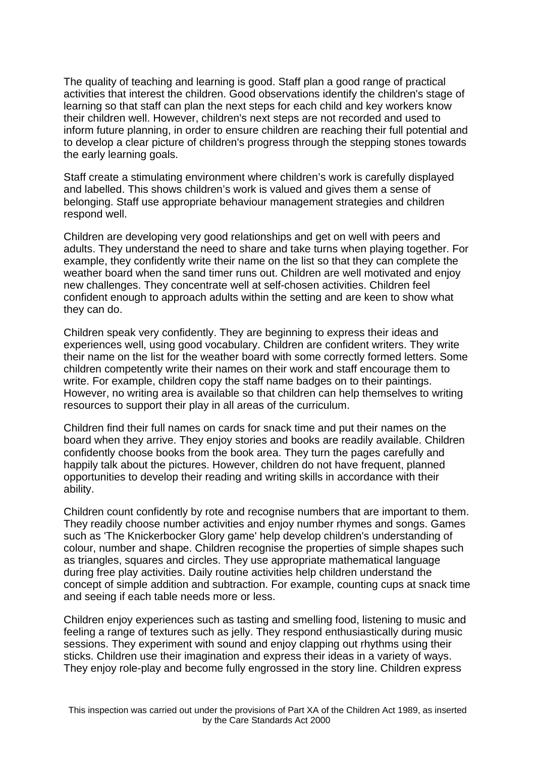The quality of teaching and learning is good. Staff plan a good range of practical activities that interest the children. Good observations identify the children's stage of learning so that staff can plan the next steps for each child and key workers know their children well. However, children's next steps are not recorded and used to inform future planning, in order to ensure children are reaching their full potential and to develop a clear picture of children's progress through the stepping stones towards the early learning goals.

Staff create a stimulating environment where children's work is carefully displayed and labelled. This shows children's work is valued and gives them a sense of belonging. Staff use appropriate behaviour management strategies and children respond well.

Children are developing very good relationships and get on well with peers and adults. They understand the need to share and take turns when playing together. For example, they confidently write their name on the list so that they can complete the weather board when the sand timer runs out. Children are well motivated and enjoy new challenges. They concentrate well at self-chosen activities. Children feel confident enough to approach adults within the setting and are keen to show what they can do.

Children speak very confidently. They are beginning to express their ideas and experiences well, using good vocabulary. Children are confident writers. They write their name on the list for the weather board with some correctly formed letters. Some children competently write their names on their work and staff encourage them to write. For example, children copy the staff name badges on to their paintings. However, no writing area is available so that children can help themselves to writing resources to support their play in all areas of the curriculum.

Children find their full names on cards for snack time and put their names on the board when they arrive. They enjoy stories and books are readily available. Children confidently choose books from the book area. They turn the pages carefully and happily talk about the pictures. However, children do not have frequent, planned opportunities to develop their reading and writing skills in accordance with their ability.

Children count confidently by rote and recognise numbers that are important to them. They readily choose number activities and enjoy number rhymes and songs. Games such as 'The Knickerbocker Glory game' help develop children's understanding of colour, number and shape. Children recognise the properties of simple shapes such as triangles, squares and circles. They use appropriate mathematical language during free play activities. Daily routine activities help children understand the concept of simple addition and subtraction. For example, counting cups at snack time and seeing if each table needs more or less.

Children enjoy experiences such as tasting and smelling food, listening to music and feeling a range of textures such as jelly. They respond enthusiastically during music sessions. They experiment with sound and enjoy clapping out rhythms using their sticks. Children use their imagination and express their ideas in a variety of ways. They enjoy role-play and become fully engrossed in the story line. Children express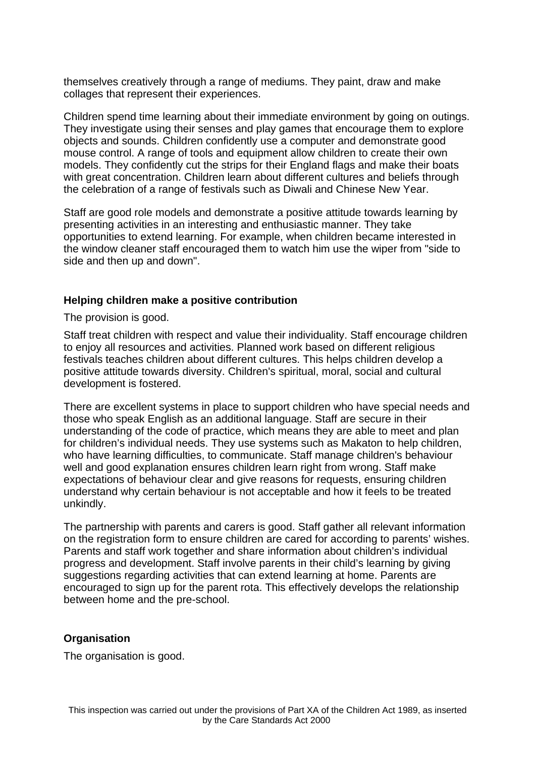themselves creatively through a range of mediums. They paint, draw and make collages that represent their experiences.

Children spend time learning about their immediate environment by going on outings. They investigate using their senses and play games that encourage them to explore objects and sounds. Children confidently use a computer and demonstrate good mouse control. A range of tools and equipment allow children to create their own models. They confidently cut the strips for their England flags and make their boats with great concentration. Children learn about different cultures and beliefs through the celebration of a range of festivals such as Diwali and Chinese New Year.

Staff are good role models and demonstrate a positive attitude towards learning by presenting activities in an interesting and enthusiastic manner. They take opportunities to extend learning. For example, when children became interested in the window cleaner staff encouraged them to watch him use the wiper from "side to side and then up and down".

#### **Helping children make a positive contribution**

The provision is good.

Staff treat children with respect and value their individuality. Staff encourage children to enjoy all resources and activities. Planned work based on different religious festivals teaches children about different cultures. This helps children develop a positive attitude towards diversity. Children's spiritual, moral, social and cultural development is fostered.

There are excellent systems in place to support children who have special needs and those who speak English as an additional language. Staff are secure in their understanding of the code of practice, which means they are able to meet and plan for children's individual needs. They use systems such as Makaton to help children, who have learning difficulties, to communicate. Staff manage children's behaviour well and good explanation ensures children learn right from wrong. Staff make expectations of behaviour clear and give reasons for requests, ensuring children understand why certain behaviour is not acceptable and how it feels to be treated unkindly.

The partnership with parents and carers is good. Staff gather all relevant information on the registration form to ensure children are cared for according to parents' wishes. Parents and staff work together and share information about children's individual progress and development. Staff involve parents in their child's learning by giving suggestions regarding activities that can extend learning at home. Parents are encouraged to sign up for the parent rota. This effectively develops the relationship between home and the pre-school.

## **Organisation**

The organisation is good.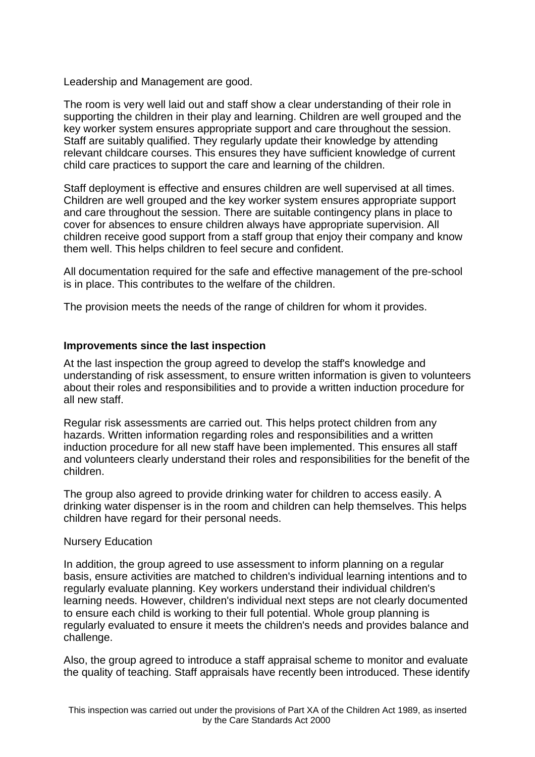Leadership and Management are good.

The room is very well laid out and staff show a clear understanding of their role in supporting the children in their play and learning. Children are well grouped and the key worker system ensures appropriate support and care throughout the session. Staff are suitably qualified. They regularly update their knowledge by attending relevant childcare courses. This ensures they have sufficient knowledge of current child care practices to support the care and learning of the children.

Staff deployment is effective and ensures children are well supervised at all times. Children are well grouped and the key worker system ensures appropriate support and care throughout the session. There are suitable contingency plans in place to cover for absences to ensure children always have appropriate supervision. All children receive good support from a staff group that enjoy their company and know them well. This helps children to feel secure and confident.

All documentation required for the safe and effective management of the pre-school is in place. This contributes to the welfare of the children.

The provision meets the needs of the range of children for whom it provides.

#### **Improvements since the last inspection**

At the last inspection the group agreed to develop the staff's knowledge and understanding of risk assessment, to ensure written information is given to volunteers about their roles and responsibilities and to provide a written induction procedure for all new staff.

Regular risk assessments are carried out. This helps protect children from any hazards. Written information regarding roles and responsibilities and a written induction procedure for all new staff have been implemented. This ensures all staff and volunteers clearly understand their roles and responsibilities for the benefit of the children.

The group also agreed to provide drinking water for children to access easily. A drinking water dispenser is in the room and children can help themselves. This helps children have regard for their personal needs.

#### Nursery Education

In addition, the group agreed to use assessment to inform planning on a regular basis, ensure activities are matched to children's individual learning intentions and to regularly evaluate planning. Key workers understand their individual children's learning needs. However, children's individual next steps are not clearly documented to ensure each child is working to their full potential. Whole group planning is regularly evaluated to ensure it meets the children's needs and provides balance and challenge.

Also, the group agreed to introduce a staff appraisal scheme to monitor and evaluate the quality of teaching. Staff appraisals have recently been introduced. These identify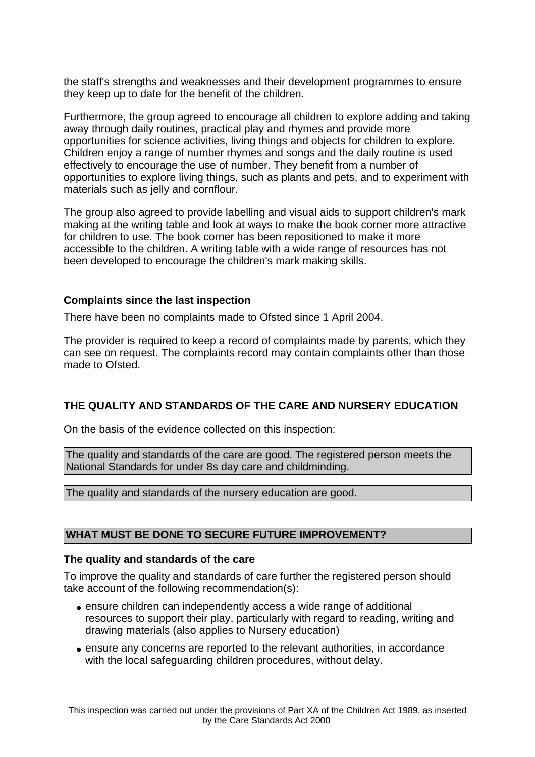the staff's strengths and weaknesses and their development programmes to ensure they keep up to date for the benefit of the children.

Furthermore, the group agreed to encourage all children to explore adding and taking away through daily routines, practical play and rhymes and provide more opportunities for science activities, living things and objects for children to explore. Children enjoy a range of number rhymes and songs and the daily routine is used effectively to encourage the use of number. They benefit from a number of opportunities to explore living things, such as plants and pets, and to experiment with materials such as jelly and cornflour.

The group also agreed to provide labelling and visual aids to support children's mark making at the writing table and look at ways to make the book corner more attractive for children to use. The book corner has been repositioned to make it more accessible to the children. A writing table with a wide range of resources has not been developed to encourage the children's mark making skills.

## **Complaints since the last inspection**

There have been no complaints made to Ofsted since 1 April 2004.

The provider is required to keep a record of complaints made by parents, which they can see on request. The complaints record may contain complaints other than those made to Ofsted.

# **THE QUALITY AND STANDARDS OF THE CARE AND NURSERY EDUCATION**

On the basis of the evidence collected on this inspection:

The quality and standards of the care are good. The registered person meets the National Standards for under 8s day care and childminding.

The quality and standards of the nursery education are good.

# **WHAT MUST BE DONE TO SECURE FUTURE IMPROVEMENT?**

#### **The quality and standards of the care**

To improve the quality and standards of care further the registered person should take account of the following recommendation(s):

- ensure children can independently access a wide range of additional resources to support their play, particularly with regard to reading, writing and drawing materials (also applies to Nursery education)
- ensure any concerns are reported to the relevant authorities, in accordance with the local safeguarding children procedures, without delay.